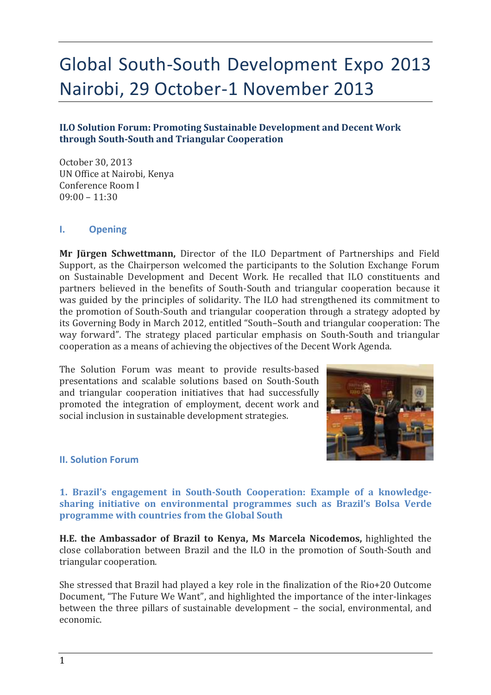# Global South-South Development Expo 2013 Nairobi, 29 October-1 November 2013

## **ILO Solution Forum: Promoting Sustainable Development and Decent Work through South-South and Triangular Cooperation**

October 30, 2013 UN Office at Nairobi, Kenya Conference Room I 09:00 – 11:30

#### **I. Opening**

**Mr Jürgen Schwettmann,** Director of the ILO Department of Partnerships and Field Support, as the Chairperson welcomed the participants to the Solution Exchange Forum on Sustainable Development and Decent Work. He recalled that ILO constituents and partners believed in the benefits of South-South and triangular cooperation because it was guided by the principles of solidarity. The ILO had strengthened its commitment to the promotion of South-South and triangular cooperation through a strategy adopted by its Governing Body in March 2012, entitled "South–South and triangular cooperation: The way forward". The strategy placed particular emphasis on South-South and triangular cooperation as a means of achieving the objectives of the Decent Work Agenda.

The Solution Forum was meant to provide results-based presentations and scalable solutions based on South-South and triangular cooperation initiatives that had successfully promoted the integration of employment, decent work and social inclusion in sustainable development strategies.



#### **II. Solution Forum**

**1. Brazil's engagement in South-South Cooperation: Example of a knowledgesharing initiative on environmental programmes such as Brazil's Bolsa Verde programme with countries from the Global South**

**H.E. the Ambassador of Brazil to Kenya, Ms Marcela Nicodemos,** highlighted the close collaboration between Brazil and the ILO in the promotion of South-South and triangular cooperation.

She stressed that Brazil had played a key role in the finalization of the Rio+20 Outcome Document, "The Future We Want", and highlighted the importance of the inter-linkages between the three pillars of sustainable development – the social, environmental, and economic.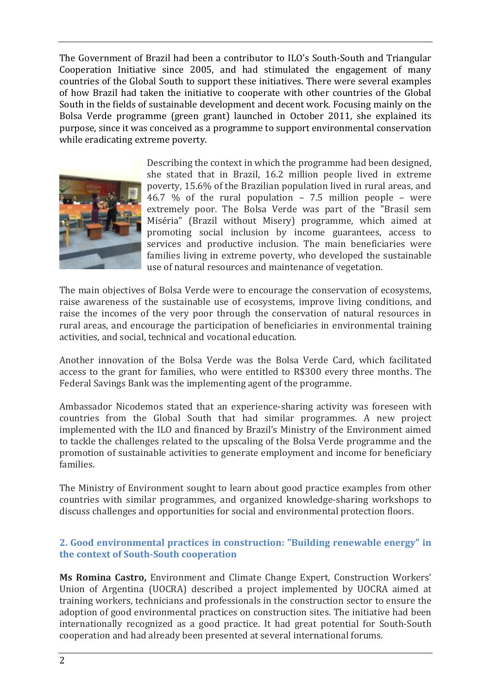The Government of Brazil had been a contributor to ILO's South-South and Triangular Cooperation Initiative since 2005, and had stimulated the engagement of many countries of the Global South to support these initiatives. There were several examples of how Brazil had taken the initiative to cooperate with other countries of the Global South in the fields of sustainable development and decent work. Focusing mainly on the Bolsa Verde programme (green grant) launched in October 2011, she explained its purpose, since it was conceived as a programme to support environmental conservation while eradicating extreme poverty.



Describing the context in which the programme had been designed, she stated that in Brazil, 16.2 million people lived in extreme poverty, 15.6% of the Brazilian population lived in rural areas, and 46.7 % of the rural population – 7.5 million people – were extremely poor. The Bolsa Verde was part of the "Brasil sem Miséria" (Brazil without Misery) programme, which aimed at promoting social inclusion by income guarantees, access to services and productive inclusion. The main beneficiaries were families living in extreme poverty, who developed the sustainable use of natural resources and maintenance of vegetation.

The main objectives of Bolsa Verde were to encourage the conservation of ecosystems, raise awareness of the sustainable use of ecosystems, improve living conditions, and raise the incomes of the very poor through the conservation of natural resources in rural areas, and encourage the participation of beneficiaries in environmental training activities, and social, technical and vocational education.

Another innovation of the Bolsa Verde was the Bolsa Verde Card, which facilitated access to the grant for families, who were entitled to R\$300 every three months. The Federal Savings Bank was the implementing agent of the programme.

Ambassador Nicodemos stated that an experience-sharing activity was foreseen with countries from the Global South that had similar programmes. A new project implemented with the ILO and financed by Brazil's Ministry of the Environment aimed to tackle the challenges related to the upscaling of the Bolsa Verde programme and the promotion of sustainable activities to generate employment and income for beneficiary families.

The Ministry of Environment sought to learn about good practice examples from other countries with similar programmes, and organized knowledge-sharing workshops to discuss challenges and opportunities for social and environmental protection floors.

### **2. Good environmental practices in construction: "Building renewable energy" in the context of South-South cooperation**

**Ms Romina Castro,** Environment and Climate Change Expert, Construction Workers' Union of Argentina (UOCRA) described a project implemented by UOCRA aimed at training workers, technicians and professionals in the construction sector to ensure the adoption of good environmental practices on construction sites. The initiative had been internationally recognized as a good practice. It had great potential for South-South cooperation and had already been presented at several international forums.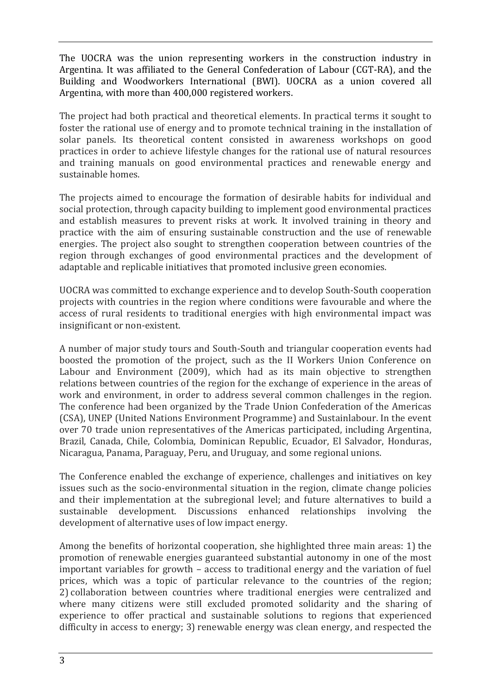The UOCRA was the union representing workers in the construction industry in Argentina. It was affiliated to the General Confederation of Labour (CGT-RA), and the Building and Woodworkers International (BWI). UOCRA as a union covered all Argentina, with more than 400,000 registered workers.

The project had both practical and theoretical elements. In practical terms it sought to foster the rational use of energy and to promote technical training in the installation of solar panels. Its theoretical content consisted in awareness workshops on good practices in order to achieve lifestyle changes for the rational use of natural resources and training manuals on good environmental practices and renewable energy and sustainable homes.

The projects aimed to encourage the formation of desirable habits for individual and social protection, through capacity building to implement good environmental practices and establish measures to prevent risks at work. It involved training in theory and practice with the aim of ensuring sustainable construction and the use of renewable energies. The project also sought to strengthen cooperation between countries of the region through exchanges of good environmental practices and the development of adaptable and replicable initiatives that promoted inclusive green economies.

UOCRA was committed to exchange experience and to develop South-South cooperation projects with countries in the region where conditions were favourable and where the access of rural residents to traditional energies with high environmental impact was insignificant or non-existent.

A number of major study tours and South-South and triangular cooperation events had boosted the promotion of the project, such as the II Workers Union Conference on Labour and Environment (2009), which had as its main objective to strengthen relations between countries of the region for the exchange of experience in the areas of work and environment, in order to address several common challenges in the region. The conference had been organized by the Trade Union Confederation of the Americas (CSA), UNEP (United Nations Environment Programme) and Sustainlabour. In the event over 70 trade union representatives of the Americas participated, including Argentina, Brazil, Canada, Chile, Colombia, Dominican Republic, Ecuador, El Salvador, Honduras, Nicaragua, Panama, Paraguay, Peru, and Uruguay, and some regional unions.

The Conference enabled the exchange of experience, challenges and initiatives on key issues such as the socio-environmental situation in the region, climate change policies and their implementation at the subregional level; and future alternatives to build a sustainable development. Discussions enhanced relationships involving the development of alternative uses of low impact energy.

Among the benefits of horizontal cooperation, she highlighted three main areas: 1) the promotion of renewable energies guaranteed substantial autonomy in one of the most important variables for growth – access to traditional energy and the variation of fuel prices, which was a topic of particular relevance to the countries of the region; 2) collaboration between countries where traditional energies were centralized and where many citizens were still excluded promoted solidarity and the sharing of experience to offer practical and sustainable solutions to regions that experienced difficulty in access to energy; 3) renewable energy was clean energy, and respected the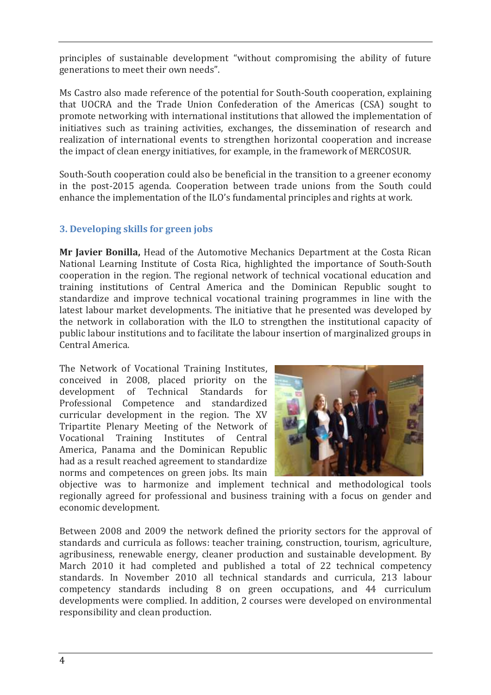principles of sustainable development "without compromising the ability of future generations to meet their own needs".

Ms Castro also made reference of the potential for South-South cooperation, explaining that UOCRA and the Trade Union Confederation of the Americas (CSA) sought to promote networking with international institutions that allowed the implementation of initiatives such as training activities, exchanges, the dissemination of research and realization of international events to strengthen horizontal cooperation and increase the impact of clean energy initiatives, for example, in the framework of MERCOSUR.

South-South cooperation could also be beneficial in the transition to a greener economy in the post-2015 agenda. Cooperation between trade unions from the South could enhance the implementation of the ILO's fundamental principles and rights at work.

# **3. Developing skills for green jobs**

**Mr Javier Bonilla,** Head of the Automotive Mechanics Department at the Costa Rican National Learning Institute of Costa Rica, highlighted the importance of South-South cooperation in the region. The regional network of technical vocational education and training institutions of Central America and the Dominican Republic sought to standardize and improve technical vocational training programmes in line with the latest labour market developments. The initiative that he presented was developed by the network in collaboration with the ILO to strengthen the institutional capacity of public labour institutions and to facilitate the labour insertion of marginalized groups in Central America.

The Network of Vocational Training Institutes, conceived in 2008, placed priority on the development of Technical Standards for Professional Competence and standardized curricular development in the region. The XV Tripartite Plenary Meeting of the Network of Vocational Training Institutes of Central America, Panama and the Dominican Republic had as a result reached agreement to standardize norms and competences on green jobs. Its main



objective was to harmonize and implement technical and methodological tools regionally agreed for professional and business training with a focus on gender and economic development.

Between 2008 and 2009 the network defined the priority sectors for the approval of standards and curricula as follows: teacher training, construction, tourism, agriculture, agribusiness, renewable energy, cleaner production and sustainable development. By March 2010 it had completed and published a total of 22 technical competency standards. In November 2010 all technical standards and curricula, 213 labour competency standards including 8 on green occupations, and 44 curriculum developments were complied. In addition, 2 courses were developed on environmental responsibility and clean production.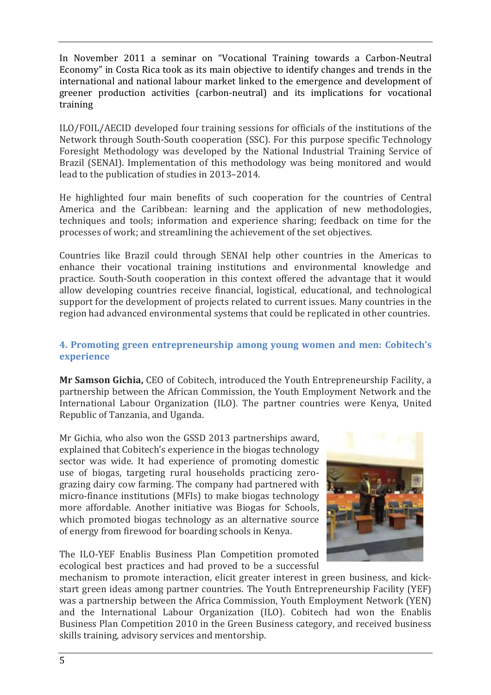In November 2011 a seminar on "Vocational Training towards a Carbon-Neutral Economy" in Costa Rica took as its main objective to identify changes and trends in the international and national labour market linked to the emergence and development of greener production activities (carbon-neutral) and its implications for vocational training

ILO/FOIL/AECID developed four training sessions for officials of the institutions of the Network through South-South cooperation (SSC). For this purpose specific Technology Foresight Methodology was developed by the National Industrial Training Service of Brazil (SENAI). Implementation of this methodology was being monitored and would lead to the publication of studies in 2013–2014.

He highlighted four main benefits of such cooperation for the countries of Central America and the Caribbean: learning and the application of new methodologies, techniques and tools; information and experience sharing; feedback on time for the processes of work; and streamlining the achievement of the set objectives.

Countries like Brazil could through SENAI help other countries in the Americas to enhance their vocational training institutions and environmental knowledge and practice. South-South cooperation in this context offered the advantage that it would allow developing countries receive financial, logistical, educational, and technological support for the development of projects related to current issues. Many countries in the region had advanced environmental systems that could be replicated in other countries.

### **4. Promoting green entrepreneurship among young women and men: Cobitech's experience**

**Mr Samson Gichia,** CEO of Cobitech, introduced the Youth Entrepreneurship Facility, a partnership between the African Commission, the Youth Employment Network and the International Labour Organization (ILO). The partner countries were Kenya, United Republic of Tanzania, and Uganda.

Mr Gichia, who also won the GSSD 2013 partnerships award, explained that Cobitech's experience in the biogas technology sector was wide. It had experience of promoting domestic use of biogas, targeting rural households practicing zerograzing dairy cow farming. The company had partnered with micro-finance institutions (MFIs) to make biogas technology more affordable. Another initiative was Biogas for Schools, which promoted biogas technology as an alternative source of energy from firewood for boarding schools in Kenya.

The ILO-YEF Enablis Business Plan Competition promoted ecological best practices and had proved to be a successful



mechanism to promote interaction, elicit greater interest in green business, and kickstart green ideas among partner countries. The Youth Entrepreneurship Facility (YEF) was a partnership between the Africa Commission, Youth Employment Network (YEN) and the International Labour Organization (ILO). Cobitech had won the Enablis Business Plan Competition 2010 in the Green Business category, and received business skills training, advisory services and mentorship.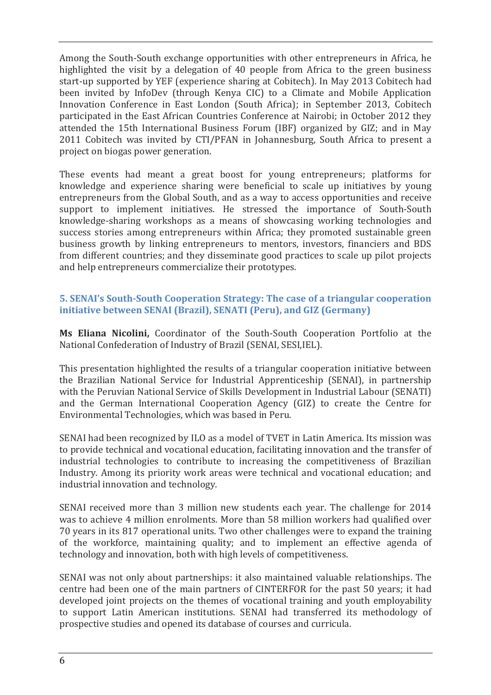Among the South-South exchange opportunities with other entrepreneurs in Africa, he highlighted the visit by a delegation of 40 people from Africa to the green business start-up supported by YEF (experience sharing at Cobitech). In May 2013 Cobitech had been invited by InfoDev (through Kenya CIC) to a Climate and Mobile Application Innovation Conference in East London (South Africa); in September 2013, Cobitech participated in the East African Countries Conference at Nairobi; in October 2012 they attended the 15th International Business Forum (IBF) organized by GIZ; and in May 2011 Cobitech was invited by CTI/PFAN in Johannesburg, South Africa to present a project on biogas power generation.

These events had meant a great boost for young entrepreneurs; platforms for knowledge and experience sharing were beneficial to scale up initiatives by young entrepreneurs from the Global South, and as a way to access opportunities and receive support to implement initiatives. He stressed the importance of South-South knowledge-sharing workshops as a means of showcasing working technologies and success stories among entrepreneurs within Africa; they promoted sustainable green business growth by linking entrepreneurs to mentors, investors, financiers and BDS from different countries; and they disseminate good practices to scale up pilot projects and help entrepreneurs commercialize their prototypes.

## **5. SENAI's South-South Cooperation Strategy: The case of a triangular cooperation initiative between SENAI (Brazil), SENATI (Peru), and GIZ (Germany)**

**Ms Eliana Nicolini,** Coordinator of the South-South Cooperation Portfolio at the National Confederation of Industry of Brazil (SENAI, SESI,IEL).

This presentation highlighted the results of a triangular cooperation initiative between the Brazilian National Service for Industrial Apprenticeship (SENAI), in partnership with the Peruvian National Service of Skills Development in Industrial Labour (SENATI) and the German International Cooperation Agency (GIZ) to create the Centre for Environmental Technologies, which was based in Peru.

SENAI had been recognized by ILO as a model of TVET in Latin America. Its mission was to provide technical and vocational education, facilitating innovation and the transfer of industrial technologies to contribute to increasing the competitiveness of Brazilian Industry. Among its priority work areas were technical and vocational education; and industrial innovation and technology.

SENAI received more than 3 million new students each year. The challenge for 2014 was to achieve 4 million enrolments. More than 58 million workers had qualified over 70 years in its 817 operational units. Two other challenges were to expand the training of the workforce, maintaining quality; and to implement an effective agenda of technology and innovation, both with high levels of competitiveness.

SENAI was not only about partnerships: it also maintained valuable relationships. The centre had been one of the main partners of CINTERFOR for the past 50 years; it had developed joint projects on the themes of vocational training and youth employability to support Latin American institutions. SENAI had transferred its methodology of prospective studies and opened its database of courses and curricula.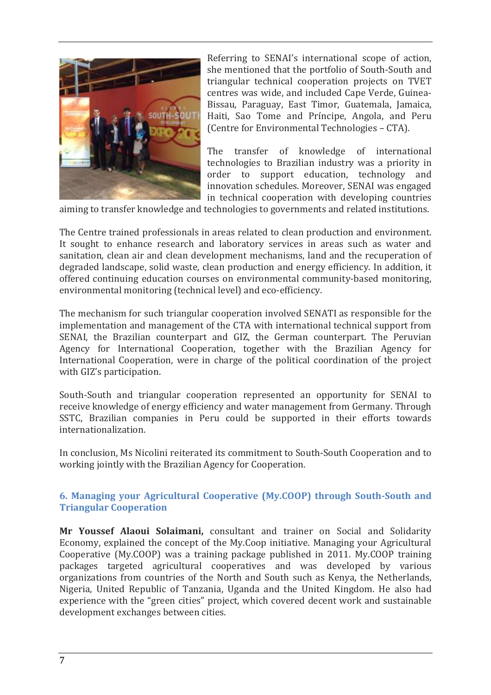

Referring to SENAI's international scope of action, she mentioned that the portfolio of South-South and triangular technical cooperation projects on TVET centres was wide, and included Cape Verde, Guinea-Bissau, Paraguay, East Timor, Guatemala, Jamaica, Haiti, Sao Tome and Príncipe, Angola, and Peru (Centre for Environmental Technologies – CTA).

The transfer of knowledge of international technologies to Brazilian industry was a priority in order to support education, technology and innovation schedules. Moreover, SENAI was engaged in technical cooperation with developing countries

aiming to transfer knowledge and technologies to governments and related institutions.

The Centre trained professionals in areas related to clean production and environment. It sought to enhance research and laboratory services in areas such as water and sanitation, clean air and clean development mechanisms, land and the recuperation of degraded landscape, solid waste, clean production and energy efficiency. In addition, it offered continuing education courses on environmental community-based monitoring, environmental monitoring (technical level) and eco-efficiency.

The mechanism for such triangular cooperation involved SENATI as responsible for the implementation and management of the CTA with international technical support from SENAI, the Brazilian counterpart and GIZ, the German counterpart. The Peruvian Agency for International Cooperation, together with the Brazilian Agency for International Cooperation, were in charge of the political coordination of the project with GIZ's participation.

South-South and triangular cooperation represented an opportunity for SENAI to receive knowledge of energy efficiency and water management from Germany. Through SSTC, Brazilian companies in Peru could be supported in their efforts towards internationalization.

In conclusion, Ms Nicolini reiterated its commitment to South-South Cooperation and to working jointly with the Brazilian Agency for Cooperation.

# **6. Managing your Agricultural Cooperative (My.COOP) through South-South and Triangular Cooperation**

**Mr Youssef Alaoui Solaimani,** consultant and trainer on Social and Solidarity Economy, explained the concept of the My.Coop initiative. Managing your Agricultural Cooperative (My.COOP) was a training package published in 2011. My.COOP training packages targeted agricultural cooperatives and was developed by various organizations from countries of the North and South such as Kenya, the Netherlands, Nigeria, United Republic of Tanzania, Uganda and the United Kingdom. He also had experience with the "green cities" project, which covered decent work and sustainable development exchanges between cities.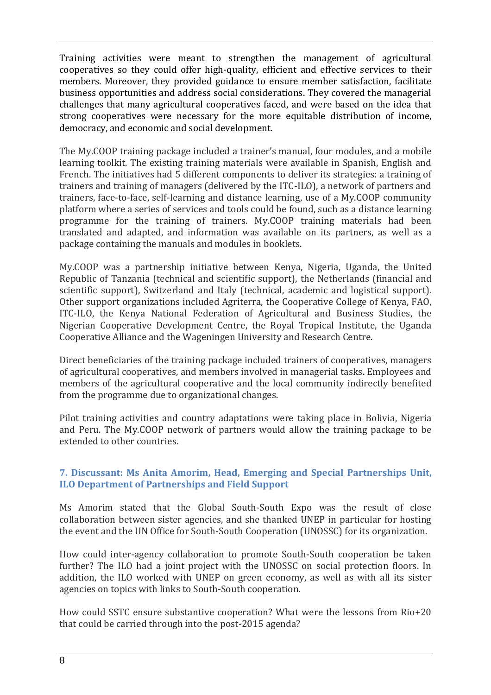Training activities were meant to strengthen the management of agricultural cooperatives so they could offer high-quality, efficient and effective services to their members. Moreover, they provided guidance to ensure member satisfaction, facilitate business opportunities and address social considerations. They covered the managerial challenges that many agricultural cooperatives faced, and were based on the idea that strong cooperatives were necessary for the more equitable distribution of income, democracy, and economic and social development.

The My.COOP training package included a trainer's manual, four modules, and a mobile learning toolkit. The existing training materials were available in Spanish, English and French. The initiatives had 5 different components to deliver its strategies: a training of trainers and training of managers (delivered by the ITC-ILO), a network of partners and trainers, face-to-face, self-learning and distance learning, use of a My.COOP community platform where a series of services and tools could be found, such as a distance learning programme for the training of trainers. My.COOP training materials had been translated and adapted, and information was available on its partners, as well as a package containing the manuals and modules in booklets.

My.COOP was a partnership initiative between Kenya, Nigeria, Uganda, the United Republic of Tanzania (technical and scientific support), the Netherlands (financial and scientific support), Switzerland and Italy (technical, academic and logistical support). Other support organizations included Agriterra, the Cooperative College of Kenya, FAO, ITC-ILO, the Kenya National Federation of Agricultural and Business Studies, the Nigerian Cooperative Development Centre, the Royal Tropical Institute, the Uganda Cooperative Alliance and the Wageningen University and Research Centre.

Direct beneficiaries of the training package included trainers of cooperatives, managers of agricultural cooperatives, and members involved in managerial tasks. Employees and members of the agricultural cooperative and the local community indirectly benefited from the programme due to organizational changes.

Pilot training activities and country adaptations were taking place in Bolivia, Nigeria and Peru. The My.COOP network of partners would allow the training package to be extended to other countries.

# **7. Discussant: Ms Anita Amorim, Head, Emerging and Special Partnerships Unit, ILO Department of Partnerships and Field Support**

Ms Amorim stated that the Global South-South Expo was the result of close collaboration between sister agencies, and she thanked UNEP in particular for hosting the event and the UN Office for South-South Cooperation (UNOSSC) for its organization.

How could inter-agency collaboration to promote South-South cooperation be taken further? The ILO had a joint project with the UNOSSC on social protection floors. In addition, the ILO worked with UNEP on green economy, as well as with all its sister agencies on topics with links to South-South cooperation.

How could SSTC ensure substantive cooperation? What were the lessons from Rio+20 that could be carried through into the post-2015 agenda?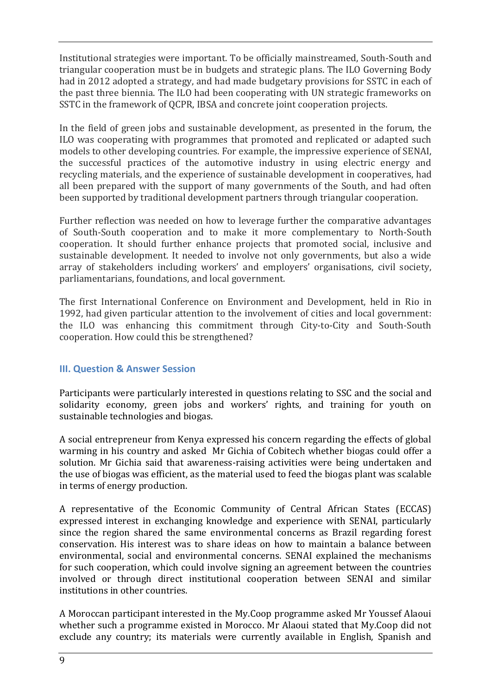Institutional strategies were important. To be officially mainstreamed, South-South and triangular cooperation must be in budgets and strategic plans. The ILO Governing Body had in 2012 adopted a strategy, and had made budgetary provisions for SSTC in each of the past three biennia. The ILO had been cooperating with UN strategic frameworks on SSTC in the framework of QCPR, IBSA and concrete joint cooperation projects.

In the field of green jobs and sustainable development, as presented in the forum, the ILO was cooperating with programmes that promoted and replicated or adapted such models to other developing countries. For example, the impressive experience of SENAI, the successful practices of the automotive industry in using electric energy and recycling materials, and the experience of sustainable development in cooperatives, had all been prepared with the support of many governments of the South, and had often been supported by traditional development partners through triangular cooperation.

Further reflection was needed on how to leverage further the comparative advantages of South-South cooperation and to make it more complementary to North-South cooperation. It should further enhance projects that promoted social, inclusive and sustainable development. It needed to involve not only governments, but also a wide array of stakeholders including workers' and employers' organisations, civil society, parliamentarians, foundations, and local government.

The first International Conference on Environment and Development, held in Rio in 1992, had given particular attention to the involvement of cities and local government: the ILO was enhancing this commitment through City-to-City and South-South cooperation. How could this be strengthened?

# **III. Question & Answer Session**

Participants were particularly interested in questions relating to SSC and the social and solidarity economy, green jobs and workers' rights, and training for youth on sustainable technologies and biogas.

A social entrepreneur from Kenya expressed his concern regarding the effects of global warming in his country and asked Mr Gichia of Cobitech whether biogas could offer a solution. Mr Gichia said that awareness-raising activities were being undertaken and the use of biogas was efficient, as the material used to feed the biogas plant was scalable in terms of energy production.

A representative of the Economic Community of Central African States (ECCAS) expressed interest in exchanging knowledge and experience with SENAI, particularly since the region shared the same environmental concerns as Brazil regarding forest conservation. His interest was to share ideas on how to maintain a balance between environmental, social and environmental concerns. SENAI explained the mechanisms for such cooperation, which could involve signing an agreement between the countries involved or through direct institutional cooperation between SENAI and similar institutions in other countries.

A Moroccan participant interested in the My.Coop programme asked Mr Youssef Alaoui whether such a programme existed in Morocco. Mr Alaoui stated that My.Coop did not exclude any country; its materials were currently available in English, Spanish and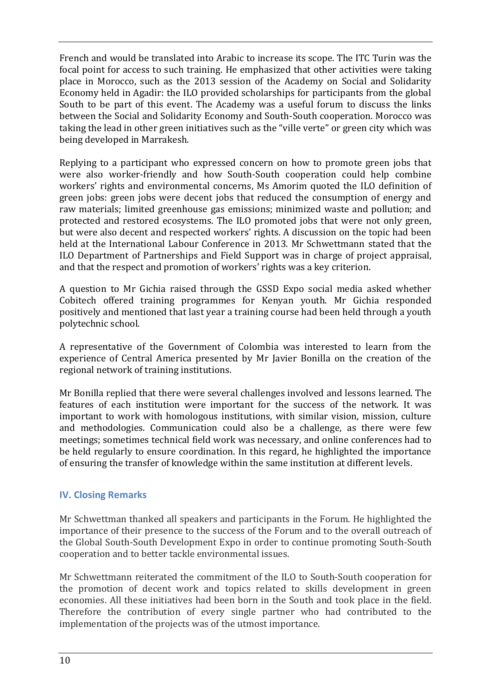French and would be translated into Arabic to increase its scope. The ITC Turin was the focal point for access to such training. He emphasized that other activities were taking place in Morocco, such as the 2013 session of the Academy on Social and Solidarity Economy held in Agadir: the ILO provided scholarships for participants from the global South to be part of this event. The Academy was a useful forum to discuss the links between the Social and Solidarity Economy and South-South cooperation. Morocco was taking the lead in other green initiatives such as the "ville verte" or green city which was being developed in Marrakesh.

Replying to a participant who expressed concern on how to promote green jobs that were also worker-friendly and how South-South cooperation could help combine workers' rights and environmental concerns, Ms Amorim quoted the ILO definition of green jobs: green jobs were decent jobs that reduced the consumption of energy and raw materials; limited greenhouse gas emissions; minimized waste and pollution; and protected and restored ecosystems. The ILO promoted jobs that were not only green, but were also decent and respected workers' rights. A discussion on the topic had been held at the International Labour Conference in 2013. Mr Schwettmann stated that the ILO Department of Partnerships and Field Support was in charge of project appraisal, and that the respect and promotion of workers' rights was a key criterion.

A question to Mr Gichia raised through the GSSD Expo social media asked whether Cobitech offered training programmes for Kenyan youth. Mr Gichia responded positively and mentioned that last year a training course had been held through a youth polytechnic school.

A representative of the Government of Colombia was interested to learn from the experience of Central America presented by Mr Javier Bonilla on the creation of the regional network of training institutions.

Mr Bonilla replied that there were several challenges involved and lessons learned. The features of each institution were important for the success of the network. It was important to work with homologous institutions, with similar vision, mission, culture and methodologies. Communication could also be a challenge, as there were few meetings; sometimes technical field work was necessary, and online conferences had to be held regularly to ensure coordination. In this regard, he highlighted the importance of ensuring the transfer of knowledge within the same institution at different levels.

# **IV. Closing Remarks**

Mr Schwettman thanked all speakers and participants in the Forum. He highlighted the importance of their presence to the success of the Forum and to the overall outreach of the Global South-South Development Expo in order to continue promoting South-South cooperation and to better tackle environmental issues.

Mr Schwettmann reiterated the commitment of the ILO to South-South cooperation for the promotion of decent work and topics related to skills development in green economies. All these initiatives had been born in the South and took place in the field. Therefore the contribution of every single partner who had contributed to the implementation of the projects was of the utmost importance.